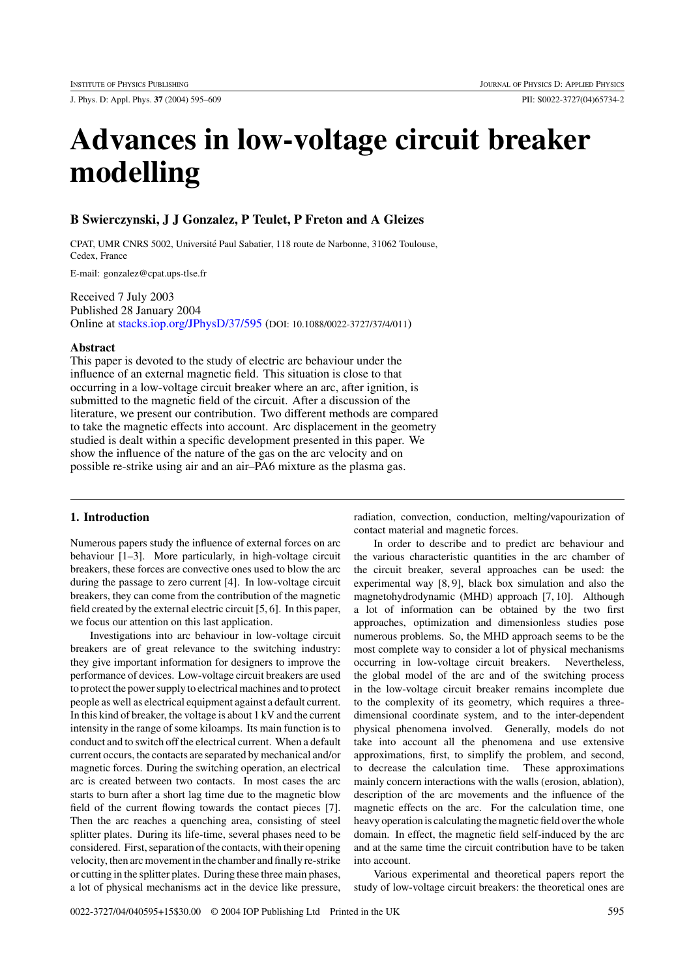J. Phys. D: Appl. Phys. **37** (2004) 595–609 PII: S0022-3727(04)65734-2

# **Advances in low-voltage circuit breaker modelling**

# **B Swierczynski, J J Gonzalez, P Teulet, P Freton and A Gleizes**

CPAT, UMR CNRS 5002, Universite Paul Sabatier, 118 route de Narbonne, 31062 Toulouse, ´ Cedex, France

E-mail: gonzalez@cpat.ups-tlse.fr

Received 7 July 2003 Published 28 January 2004 Online at [stacks.iop.org/JPhysD/37/595](http://stacks.iop.org/jd/37/595) (DOI: 10.1088/0022-3727/37/4/011)

# **Abstract**

This paper is devoted to the study of electric arc behaviour under the influence of an external magnetic field. This situation is close to that occurring in a low-voltage circuit breaker where an arc, after ignition, is submitted to the magnetic field of the circuit. After a discussion of the literature, we present our contribution. Two different methods are compared to take the magnetic effects into account. Arc displacement in the geometry studied is dealt within a specific development presented in this paper. We show the influence of the nature of the gas on the arc velocity and on possible re-strike using air and an air–PA6 mixture as the plasma gas.

## **1. Introduction**

Numerous papers study the influence of external forces on arc behaviour [1–3]. More particularly, in high-voltage circuit breakers, these forces are convective ones used to blow the arc during the passage to zero current [4]. In low-voltage circuit breakers, they can come from the contribution of the magnetic field created by the external electric circuit [5, 6]. In this paper, we focus our attention on this last application.

Investigations into arc behaviour in low-voltage circuit breakers are of great relevance to the switching industry: they give important information for designers to improve the performance of devices. Low-voltage circuit breakers are used to protect the power supply to electrical machines and to protect people as well as electrical equipment against a default current. In this kind of breaker, the voltage is about 1 kV and the current intensity in the range of some kiloamps. Its main function is to conduct and to switch off the electrical current. When a default current occurs, the contacts are separated by mechanical and/or magnetic forces. During the switching operation, an electrical arc is created between two contacts. In most cases the arc starts to burn after a short lag time due to the magnetic blow field of the current flowing towards the contact pieces [7]. Then the arc reaches a quenching area, consisting of steel splitter plates. During its life-time, several phases need to be considered. First, separation of the contacts, with their opening velocity, then arc movement in the chamber and finally re-strike or cutting in the splitter plates. During these three main phases, a lot of physical mechanisms act in the device like pressure, radiation, convection, conduction, melting/vapourization of contact material and magnetic forces.

In order to describe and to predict arc behaviour and the various characteristic quantities in the arc chamber of the circuit breaker, several approaches can be used: the experimental way [8, 9], black box simulation and also the magnetohydrodynamic (MHD) approach [7, 10]. Although a lot of information can be obtained by the two first approaches, optimization and dimensionless studies pose numerous problems. So, the MHD approach seems to be the most complete way to consider a lot of physical mechanisms occurring in low-voltage circuit breakers. Nevertheless, the global model of the arc and of the switching process in the low-voltage circuit breaker remains incomplete due to the complexity of its geometry, which requires a threedimensional coordinate system, and to the inter-dependent physical phenomena involved. Generally, models do not take into account all the phenomena and use extensive approximations, first, to simplify the problem, and second, to decrease the calculation time. These approximations mainly concern interactions with the walls (erosion, ablation), description of the arc movements and the influence of the magnetic effects on the arc. For the calculation time, one heavy operation is calculating the magnetic field over the whole domain. In effect, the magnetic field self-induced by the arc and at the same time the circuit contribution have to be taken into account.

Various experimental and theoretical papers report the study of low-voltage circuit breakers: the theoretical ones are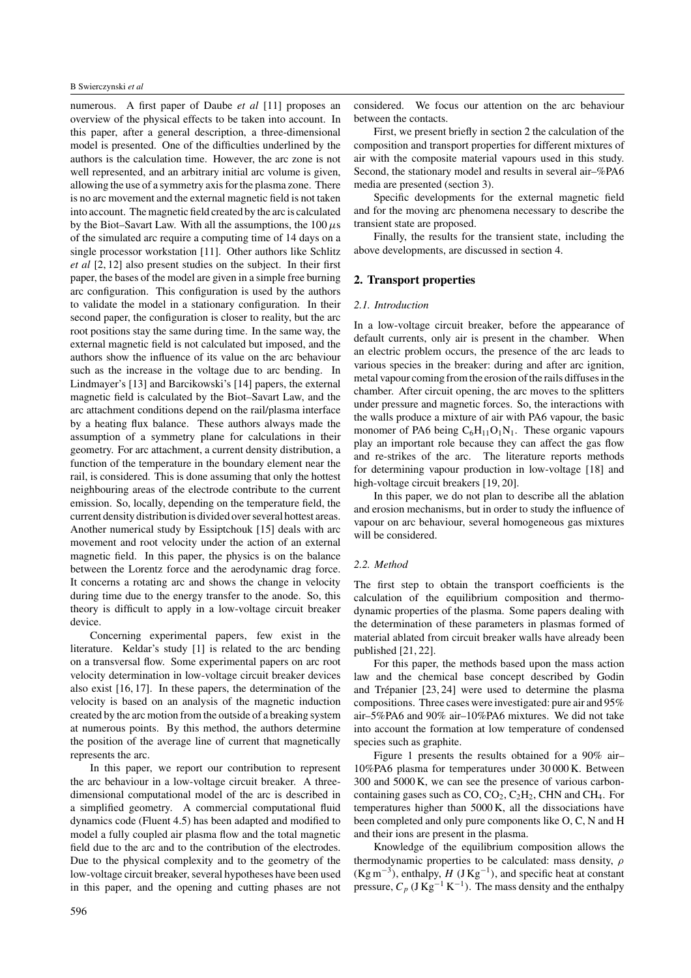#### B Swierczynski *et al*

numerous. A first paper of Daube *et al* [11] proposes an overview of the physical effects to be taken into account. In this paper, after a general description, a three-dimensional model is presented. One of the difficulties underlined by the authors is the calculation time. However, the arc zone is not well represented, and an arbitrary initial arc volume is given, allowing the use of a symmetry axis for the plasma zone. There is no arc movement and the external magnetic field is not taken into account. The magnetic field created by the arc is calculated by the Biot–Savart Law. With all the assumptions, the  $100 \mu s$ of the simulated arc require a computing time of 14 days on a single processor workstation [11]. Other authors like Schlitz *et al* [2, 12] also present studies on the subject. In their first paper, the bases of the model are given in a simple free burning arc configuration. This configuration is used by the authors to validate the model in a stationary configuration. In their second paper, the configuration is closer to reality, but the arc root positions stay the same during time. In the same way, the external magnetic field is not calculated but imposed, and the authors show the influence of its value on the arc behaviour such as the increase in the voltage due to arc bending. In Lindmayer's [13] and Barcikowski's [14] papers, the external magnetic field is calculated by the Biot–Savart Law, and the arc attachment conditions depend on the rail/plasma interface by a heating flux balance. These authors always made the assumption of a symmetry plane for calculations in their geometry. For arc attachment, a current density distribution, a function of the temperature in the boundary element near the rail, is considered. This is done assuming that only the hottest neighbouring areas of the electrode contribute to the current emission. So, locally, depending on the temperature field, the current density distribution is divided over several hottest areas. Another numerical study by Essiptchouk [15] deals with arc movement and root velocity under the action of an external magnetic field. In this paper, the physics is on the balance between the Lorentz force and the aerodynamic drag force. It concerns a rotating arc and shows the change in velocity during time due to the energy transfer to the anode. So, this theory is difficult to apply in a low-voltage circuit breaker device.

Concerning experimental papers, few exist in the literature. Keldar's study [1] is related to the arc bending on a transversal flow. Some experimental papers on arc root velocity determination in low-voltage circuit breaker devices also exist [16, 17]. In these papers, the determination of the velocity is based on an analysis of the magnetic induction created by the arc motion from the outside of a breaking system at numerous points. By this method, the authors determine the position of the average line of current that magnetically represents the arc.

In this paper, we report our contribution to represent the arc behaviour in a low-voltage circuit breaker. A threedimensional computational model of the arc is described in a simplified geometry. A commercial computational fluid dynamics code (Fluent 4.5) has been adapted and modified to model a fully coupled air plasma flow and the total magnetic field due to the arc and to the contribution of the electrodes. Due to the physical complexity and to the geometry of the low-voltage circuit breaker, several hypotheses have been used in this paper, and the opening and cutting phases are not

considered. We focus our attention on the arc behaviour between the contacts.

First, we present briefly in section 2 the calculation of the composition and transport properties for different mixtures of air with the composite material vapours used in this study. Second, the stationary model and results in several air–%PA6 media are presented (section 3).

Specific developments for the external magnetic field and for the moving arc phenomena necessary to describe the transient state are proposed.

Finally, the results for the transient state, including the above developments, are discussed in section 4.

#### **2. Transport properties**

#### *2.1. Introduction*

In a low-voltage circuit breaker, before the appearance of default currents, only air is present in the chamber. When an electric problem occurs, the presence of the arc leads to various species in the breaker: during and after arc ignition, metal vapour coming from the erosion of the rails diffuses in the chamber. After circuit opening, the arc moves to the splitters under pressure and magnetic forces. So, the interactions with the walls produce a mixture of air with PA6 vapour, the basic monomer of PA6 being  $C_6H_{11}O_1N_1$ . These organic vapours play an important role because they can affect the gas flow and re-strikes of the arc. The literature reports methods for determining vapour production in low-voltage [18] and high-voltage circuit breakers [19, 20].

In this paper, we do not plan to describe all the ablation and erosion mechanisms, but in order to study the influence of vapour on arc behaviour, several homogeneous gas mixtures will be considered.

## *2.2. Method*

The first step to obtain the transport coefficients is the calculation of the equilibrium composition and thermodynamic properties of the plasma. Some papers dealing with the determination of these parameters in plasmas formed of material ablated from circuit breaker walls have already been published [21, 22].

For this paper, the methods based upon the mass action law and the chemical base concept described by Godin and Trépanier  $[23, 24]$  were used to determine the plasma compositions. Three cases were investigated: pure air and 95% air–5%PA6 and 90% air–10%PA6 mixtures. We did not take into account the formation at low temperature of condensed species such as graphite.

Figure 1 presents the results obtained for a 90% air– 10%PA6 plasma for temperatures under 30 000 K. Between 300 and 5000 K, we can see the presence of various carboncontaining gases such as  $CO$ ,  $CO<sub>2</sub>$ ,  $C<sub>2</sub>H<sub>2</sub>$ , CHN and CH<sub>4</sub>. For temperatures higher than 5000 K, all the dissociations have been completed and only pure components like O, C, N and H and their ions are present in the plasma.

Knowledge of the equilibrium composition allows the thermodynamic properties to be calculated: mass density, *ρ* (Kg m−3*)*, enthalpy, *H* (J Kg−1*)*, and specific heat at constant pressure,  $C_p$  (J Kg<sup>-1</sup> K<sup>-1</sup>). The mass density and the enthalpy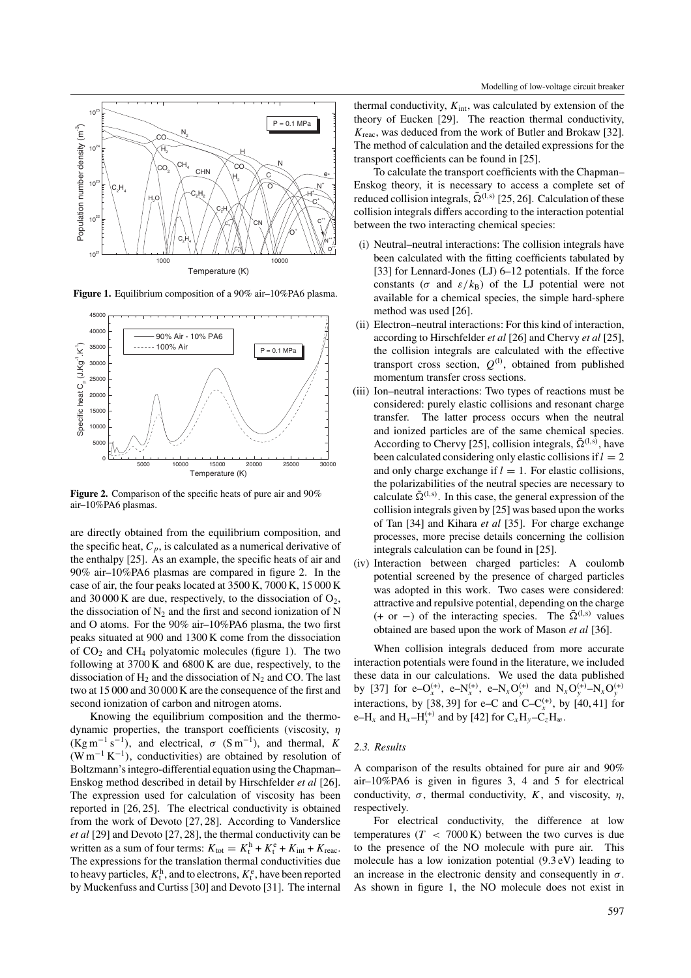

 $\frac{10^{21}}{10^{21}} \frac{11 \frac{11}{111}} \frac{111}{1111} \frac{111}{1111} \frac{111}{1111} \frac{1111}{1111} \frac{1111}{1111} \frac{1111}{1111} \frac{1111}{1111} \frac{1111}{1111} \frac{1111}{1111} \frac{11111}{11111} \frac{11111}{11111} \frac{11111}{11111} \frac{111111}{11111} \frac{111111}{1111$ Temperature (K)

 $C_2^-$ 

 $\sigma$ 

Oʻi  $N^{++}$ 

**Figure 1.** Equilibrium composition of a 90% air–10%PA6 plasma.

 $C_2H_4$ 

 $10<sup>2</sup>$ 

 $10^2$ 

Population number density (m<sup>-3</sup>

 $\widehat{\phantom{a}}$ 

 $10^2$ 

 $10^3$ 



**Figure 2.** Comparison of the specific heats of pure air and 90% air–10%PA6 plasmas.

are directly obtained from the equilibrium composition, and the specific heat,  $C_p$ , is calculated as a numerical derivative of the enthalpy [25]. As an example, the specific heats of air and 90% air–10%PA6 plasmas are compared in figure 2. In the case of air, the four peaks located at 3500 K, 7000 K, 15 000 K and 30 000 K are due, respectively, to the dissociation of  $O_2$ , the dissociation of  $N_2$  and the first and second ionization of N and O atoms. For the 90% air–10%PA6 plasma, the two first peaks situated at 900 and 1300 K come from the dissociation of  $CO<sub>2</sub>$  and  $CH<sub>4</sub>$  polyatomic molecules (figure 1). The two following at 3700 K and 6800 K are due, respectively, to the dissociation of  $H_2$  and the dissociation of  $N_2$  and CO. The last two at 15 000 and 30 000 K are the consequence of the first and second ionization of carbon and nitrogen atoms.

Knowing the equilibrium composition and the thermodynamic properties, the transport coefficients (viscosity, *η*  $(Kg\ m^{-1} s^{-1})$ , and electrical,  $\sigma$   $(S m^{-1})$ , and thermal, *K* (W m−<sup>1</sup> K−1*)*, conductivities) are obtained by resolution of Boltzmann's integro-differential equation using the Chapman– Enskog method described in detail by Hirschfelder *et al* [26]. The expression used for calculation of viscosity has been reported in [26, 25]. The electrical conductivity is obtained from the work of Devoto [27, 28]. According to Vanderslice *et al* [29] and Devoto [27, 28], the thermal conductivity can be written as a sum of four terms:  $K_{\text{tot}} = K_{\text{t}}^{\text{h}} + K_{\text{t}}^{\text{e}} + K_{\text{int}} + K_{\text{reac}}.$ The expressions for the translation thermal conductivities due to heavy particles,  $K_t^{\text{h}}$ , and to electrons,  $K_t^{\text{e}}$ , have been reported by Muckenfuss and Curtiss [30] and Devoto [31]. The internal thermal conductivity, *K*int, was calculated by extension of the theory of Eucken [29]. The reaction thermal conductivity, *K*reac, was deduced from the work of Butler and Brokaw [32]. The method of calculation and the detailed expressions for the transport coefficients can be found in [25].

To calculate the transport coefficients with the Chapman– Enskog theory, it is necessary to access a complete set of reduced collision integrals,  $\overline{\Omega}^{(l,s)}$  [25, 26]. Calculation of these collision integrals differs according to the interaction potential between the two interacting chemical species:

- (i) Neutral–neutral interactions: The collision integrals have been calculated with the fitting coefficients tabulated by [33] for Lennard-Jones (LJ) 6–12 potentials. If the force constants ( $\sigma$  and  $\varepsilon/k_B$ ) of the LJ potential were not available for a chemical species, the simple hard-sphere method was used [26].
- (ii) Electron–neutral interactions: For this kind of interaction, according to Hirschfelder *et al* [26] and Chervy *et al* [25], the collision integrals are calculated with the effective transport cross section,  $Q^{(l)}$ , obtained from published momentum transfer cross sections.
- (iii) Ion–neutral interactions: Two types of reactions must be considered: purely elastic collisions and resonant charge transfer. The latter process occurs when the neutral and ionized particles are of the same chemical species. According to Chervy [25], collision integrals,  $\bar{\Omega}^{(l,s)}$ , have been calculated considering only elastic collisions if *l* = 2 and only charge exchange if  $l = 1$ . For elastic collisions, the polarizabilities of the neutral species are necessary to calculate  $\bar{\Omega}^{(l,s)}$ . In this case, the general expression of the collision integrals given by [25] was based upon the works of Tan [34] and Kihara *et al* [35]. For charge exchange processes, more precise details concerning the collision integrals calculation can be found in [25].
- (iv) Interaction between charged particles: A coulomb potential screened by the presence of charged particles was adopted in this work. Two cases were considered: attractive and repulsive potential, depending on the charge (+ or −) of the interacting species. The  $\overline{\Omega}^{(l,s)}$  values obtained are based upon the work of Mason *et al* [36].

When collision integrals deduced from more accurate interaction potentials were found in the literature, we included these data in our calculations. We used the data published by [37] for e–O<sub>x</sub><sup>++</sup>, e–N<sub>x</sub><sup>++</sup>, e–N<sub>x</sub>O<sub>v</sub><sup>++</sup> and N<sub>x</sub>O<sub>v</sub><sup>++</sup>)–N<sub>x</sub>O<sub>v</sub><sup>++</sup> interactions, by [38, 39] for e–C and  $C-C<sub>r</sub><sup>(+)</sup>$ , by [40, 41] for e–H<sub>x</sub> and H<sub>x</sub>–H<sub>y</sub><sup>+)</sup> and by [42] for  $C_xH_y-C_zH_w$ .

#### *2.3. Results*

A comparison of the results obtained for pure air and 90% air–10%PA6 is given in figures 3, 4 and 5 for electrical conductivity,  $\sigma$ , thermal conductivity,  $K$ , and viscosity,  $\eta$ , respectively.

For electrical conductivity, the difference at low temperatures  $(T < 7000 \text{ K})$  between the two curves is due to the presence of the NO molecule with pure air. This molecule has a low ionization potential (9.3 eV) leading to an increase in the electronic density and consequently in  $\sigma$ . As shown in figure 1, the NO molecule does not exist in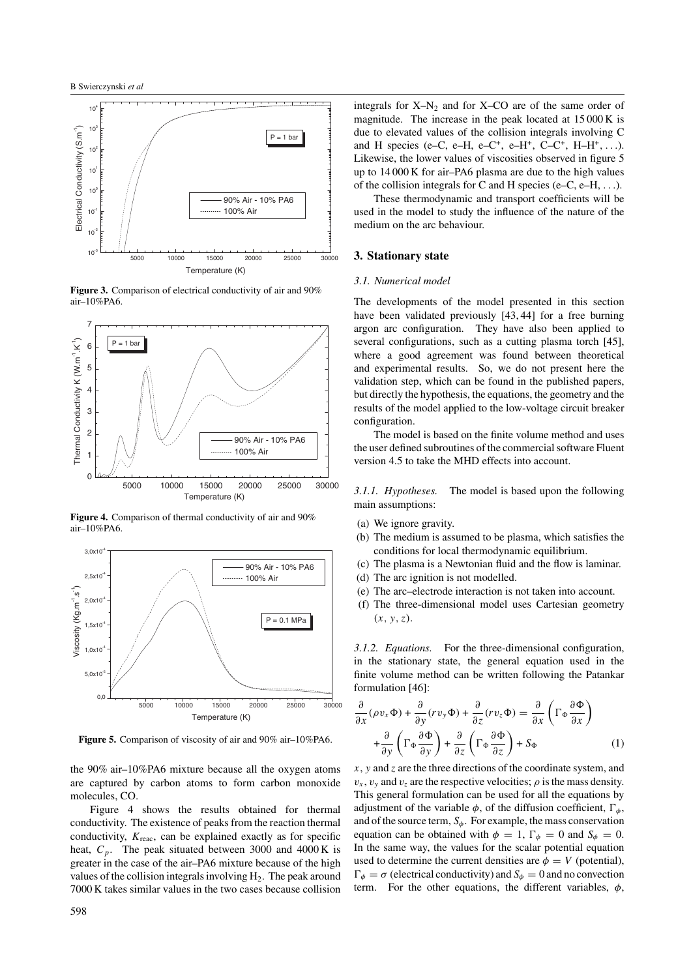

**Figure 3.** Comparison of electrical conductivity of air and 90% air–10%PA6.



**Figure 4.** Comparison of thermal conductivity of air and 90% air–10%PA6.



**Figure 5.** Comparison of viscosity of air and 90% air–10%PA6.

the 90% air–10%PA6 mixture because all the oxygen atoms are captured by carbon atoms to form carbon monoxide molecules, CO.

Figure 4 shows the results obtained for thermal conductivity. The existence of peaks from the reaction thermal conductivity, *K*reac, can be explained exactly as for specific heat,  $C_p$ . The peak situated between 3000 and 4000 K is greater in the case of the air–PA6 mixture because of the high values of the collision integrals involving  $H_2$ . The peak around 7000 K takes similar values in the two cases because collision

integrals for  $X-N_2$  and for  $X-CO$  are of the same order of magnitude. The increase in the peak located at 15 000 K is due to elevated values of the collision integrals involving C and H species (e–C, e–H, e–C<sup>+</sup>, e–H<sup>+</sup>, C–C<sup>+</sup>, H–H<sup>+</sup>,...). Likewise, the lower values of viscosities observed in figure 5 up to 14 000 K for air–PA6 plasma are due to the high values of the collision integrals for C and H species (e–C, e–H, *...*).

These thermodynamic and transport coefficients will be used in the model to study the influence of the nature of the medium on the arc behaviour.

## **3. Stationary state**

#### *3.1. Numerical model*

The developments of the model presented in this section have been validated previously [43, 44] for a free burning argon arc configuration. They have also been applied to several configurations, such as a cutting plasma torch [45], where a good agreement was found between theoretical and experimental results. So, we do not present here the validation step, which can be found in the published papers, but directly the hypothesis, the equations, the geometry and the results of the model applied to the low-voltage circuit breaker configuration.

The model is based on the finite volume method and uses the user defined subroutines of the commercial software Fluent version 4.5 to take the MHD effects into account.

*3.1.1. Hypotheses.* The model is based upon the following main assumptions:

- (a) We ignore gravity.
- (b) The medium is assumed to be plasma, which satisfies the conditions for local thermodynamic equilibrium.
- (c) The plasma is a Newtonian fluid and the flow is laminar.
- (d) The arc ignition is not modelled.
- (e) The arc–electrode interaction is not taken into account.
- (f) The three-dimensional model uses Cartesian geometry *(x, y, z)*.

*3.1.2. Equations.* For the three-dimensional configuration, in the stationary state, the general equation used in the finite volume method can be written following the Patankar formulation [46]:

$$
\frac{\partial}{\partial x}(\rho v_x \Phi) + \frac{\partial}{\partial y}(rv_y \Phi) + \frac{\partial}{\partial z}(rv_z \Phi) = \frac{\partial}{\partial x}\left(\Gamma_{\Phi}\frac{\partial \Phi}{\partial x}\right) \n+ \frac{\partial}{\partial y}\left(\Gamma_{\Phi}\frac{\partial \Phi}{\partial y}\right) + \frac{\partial}{\partial z}\left(\Gamma_{\Phi}\frac{\partial \Phi}{\partial z}\right) + S_{\Phi}
$$
\n(1)

*x*, *y* and *z* are the three directions of the coordinate system, and  $v_x$ ,  $v_y$  and  $v_z$  are the respective velocities;  $\rho$  is the mass density. This general formulation can be used for all the equations by adjustment of the variable  $\phi$ , of the diffusion coefficient,  $\Gamma_{\phi}$ , and of the source term,  $S_{\phi}$ . For example, the mass conservation equation can be obtained with  $\phi = 1$ ,  $\Gamma_{\phi} = 0$  and  $S_{\phi} = 0$ . In the same way, the values for the scalar potential equation used to determine the current densities are  $\phi = V$  (potential),  $\Gamma_{\phi} = \sigma$  (electrical conductivity) and  $S_{\phi} = 0$  and no convection term. For the other equations, the different variables, *φ*,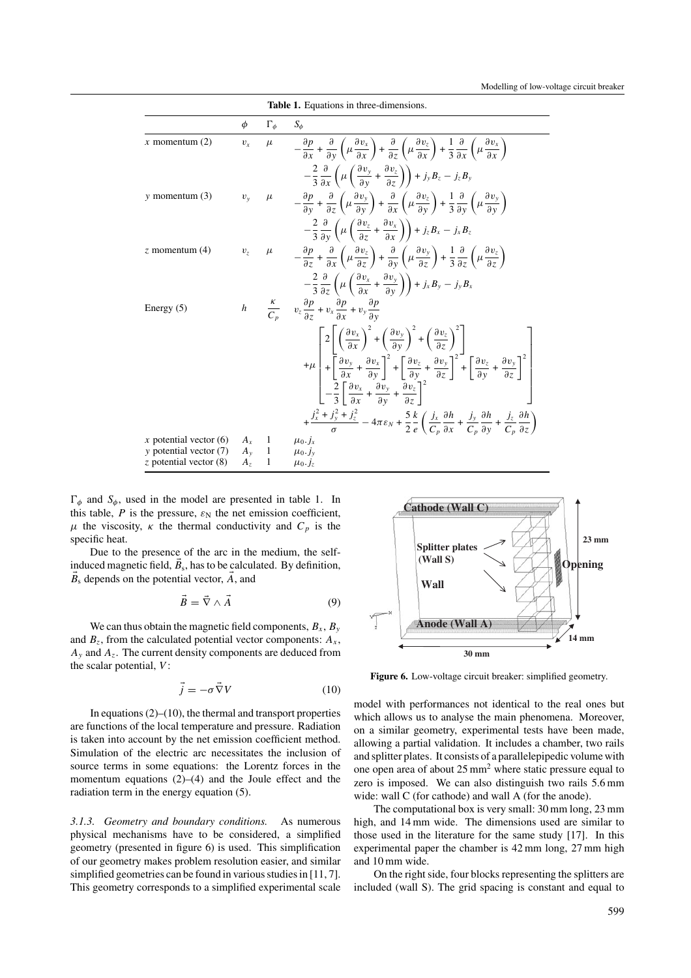| <b>Table 1.</b> Equations in three-dimensions. |               |                      |                                                                                                                                                                                                                                                                                                 |  |  |  |
|------------------------------------------------|---------------|----------------------|-------------------------------------------------------------------------------------------------------------------------------------------------------------------------------------------------------------------------------------------------------------------------------------------------|--|--|--|
|                                                | φ             | $\Gamma_{\phi}$      | $S_{\phi}$                                                                                                                                                                                                                                                                                      |  |  |  |
| x momentum $(2)$                               | $v_{x}$       | $\mu$                | $-\frac{\partial p}{\partial x} + \frac{\partial}{\partial y} \left( \mu \frac{\partial v_x}{\partial x} \right) + \frac{\partial}{\partial z} \left( \mu \frac{\partial v_z}{\partial x} \right) + \frac{1}{3} \frac{\partial}{\partial x} \left( \mu \frac{\partial v_x}{\partial x} \right)$ |  |  |  |
|                                                |               |                      | $-\frac{2}{3}\frac{\partial}{\partial x}\left(\mu\left(\frac{\partial v_y}{\partial y}+\frac{\partial v_z}{\partial z}\right)\right)+j_yB_z-j_zB_y$                                                                                                                                             |  |  |  |
| y momentum $(3)$                               | $v_{v}$       | $\mu$                | $-\frac{\partial p}{\partial y} + \frac{\partial}{\partial z} \left( \mu \frac{\partial v_y}{\partial y} \right) + \frac{\partial}{\partial x} \left( \mu \frac{\partial v_z}{\partial y} \right) + \frac{1}{3} \frac{\partial}{\partial y} \left( \mu \frac{\partial v_y}{\partial y} \right)$ |  |  |  |
|                                                |               |                      | $-\frac{2}{3}\frac{\partial}{\partial y}\left(\mu\left(\frac{\partial v_z}{\partial z}+\frac{\partial v_x}{\partial x}\right)\right)+j_zB_x-j_xB_z$                                                                                                                                             |  |  |  |
| z momentum $(4)$                               | $v_z$         | $\mu$                | $-\frac{\partial p}{\partial z} + \frac{\partial}{\partial x}\left(\mu \frac{\partial v_z}{\partial z}\right) + \frac{\partial}{\partial y}\left(\mu \frac{\partial v_y}{\partial z}\right) + \frac{1}{3}\frac{\partial}{\partial z}\left(\mu \frac{\partial v_z}{\partial z}\right)$           |  |  |  |
|                                                |               |                      | $-\frac{2}{3}\frac{\partial}{\partial z}\left(\mu\left(\frac{\partial v_x}{\partial x}+\frac{\partial v_y}{\partial y}\right)\right)+j_xB_y-j_yB_x$                                                                                                                                             |  |  |  |
| Energy $(5)$                                   |               |                      | $h \frac{k}{C_n} = v_z \frac{\partial p}{\partial z} + v_x \frac{\partial p}{\partial x} + v_y \frac{\partial p}{\partial y}$                                                                                                                                                                   |  |  |  |
|                                                |               |                      | $\left[2\left[\left(\frac{\partial v_x}{\partial x}\right)^2+\left(\frac{\partial v_y}{\partial y}\right)^2+\left(\frac{\partial v_z}{\partial z}\right)^2\right]\right]$                                                                                                                       |  |  |  |
|                                                |               |                      | $+\mu \left[\frac{\partial v_y}{\partial x} + \frac{\partial v_x}{\partial y}\right]^2 + \left[\frac{\partial v_z}{\partial y} + \frac{\partial v_y}{\partial z}\right]^2 + \left[\frac{\partial v_z}{\partial y} + \frac{\partial v_y}{\partial z}\right]^2$                                   |  |  |  |
|                                                |               |                      |                                                                                                                                                                                                                                                                                                 |  |  |  |
|                                                |               |                      | $+\frac{j_x^2+j_y^2+j_z^2}{\sigma}-4\pi\varepsilon_N+\frac{5}{2}\frac{k}{e}\left(\frac{j_x}{C_n}\frac{\partial h}{\partial x}+\frac{j_y}{C_n}\frac{\partial h}{\partial y}+\frac{j_z}{C_n}\frac{\partial h}{\partial z}\right)$                                                                 |  |  |  |
| x potential vector $(6)$                       | $A_x \quad 1$ |                      | $\mu_0$ . $j_x$                                                                                                                                                                                                                                                                                 |  |  |  |
| $\gamma$ potential vector (7)                  | $A_{v}$       | $\overline{1}$<br>-1 | $\mu_0$ . $j_v$                                                                                                                                                                                                                                                                                 |  |  |  |
| $z$ potential vector $(8)$                     | $A_{\tau}$    |                      | $\mu_0$ . $j_z$                                                                                                                                                                                                                                                                                 |  |  |  |

 $\Gamma_{\phi}$  and  $S_{\phi}$ , used in the model are presented in table 1. In this table,  $P$  is the pressure,  $\varepsilon_N$  the net emission coefficient,  $\mu$  the viscosity,  $\kappa$  the thermal conductivity and  $C_p$  is the specific heat.

Due to the presence of the arc in the medium, the selfinduced magnetic field,  $\vec{B}_s$ , has to be calculated. By definition,  $\vec{B}_s$  depends on the potential vector,  $\vec{A}$ , and

$$
\vec{B} = \vec{\nabla} \wedge \vec{A} \tag{9}
$$

We can thus obtain the magnetic field components,  $B_x$ ,  $B_y$ and  $B_z$ , from the calculated potential vector components:  $A_x$ ,  $A<sub>y</sub>$  and  $A<sub>z</sub>$ . The current density components are deduced from the scalar potential, *V* :

$$
\vec{j} = -\sigma \vec{\nabla} V \tag{10}
$$

In equations  $(2)$ – $(10)$ , the thermal and transport properties are functions of the local temperature and pressure. Radiation is taken into account by the net emission coefficient method. Simulation of the electric arc necessitates the inclusion of source terms in some equations: the Lorentz forces in the momentum equations (2)–(4) and the Joule effect and the radiation term in the energy equation (5).

*3.1.3. Geometry and boundary conditions.* As numerous physical mechanisms have to be considered, a simplified geometry (presented in figure 6) is used. This simplification of our geometry makes problem resolution easier, and similar simplified geometries can be found in various studies in [11, 7]. This geometry corresponds to a simplified experimental scale



**Figure 6.** Low-voltage circuit breaker: simplified geometry.

model with performances not identical to the real ones but which allows us to analyse the main phenomena. Moreover, on a similar geometry, experimental tests have been made, allowing a partial validation. It includes a chamber, two rails and splitter plates. It consists of a parallelepipedic volume with one open area of about 25 mm<sup>2</sup> where static pressure equal to zero is imposed. We can also distinguish two rails 5.6 mm wide: wall C (for cathode) and wall A (for the anode).

The computational box is very small: 30 mm long, 23 mm high, and 14 mm wide. The dimensions used are similar to those used in the literature for the same study [17]. In this experimental paper the chamber is 42 mm long, 27 mm high and 10 mm wide.

On the right side, four blocks representing the splitters are included (wall S). The grid spacing is constant and equal to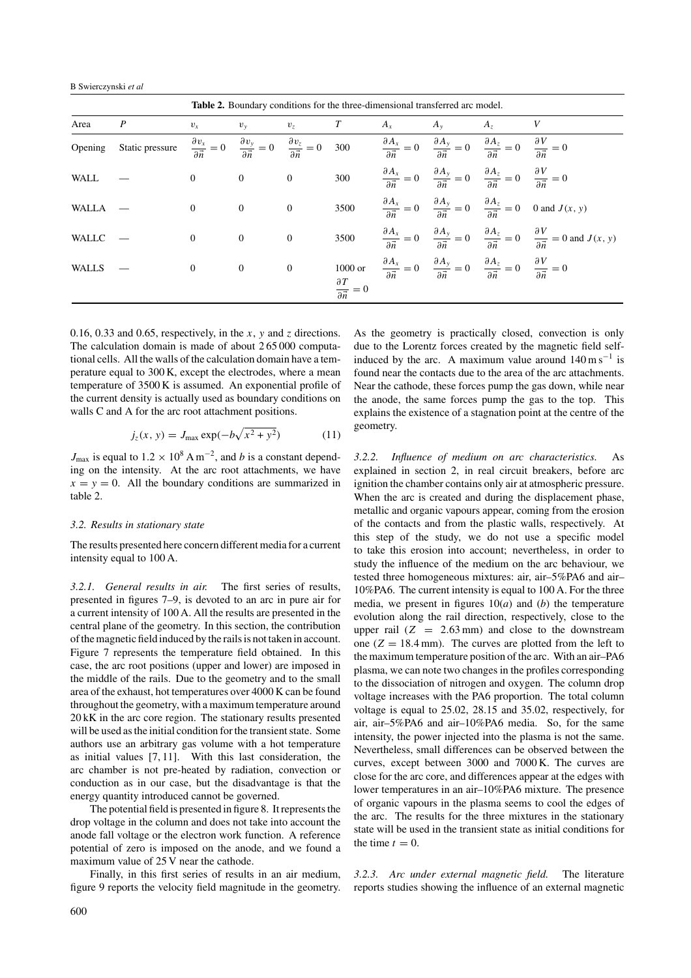B Swierczynski *et al*

|              | <b>Table 2.</b> Boundary conditions for the three-dimensional transferred arc model. |              |                |                  |                                         |                                                                                                                                                                                                                                                                                                                       |                                                                                                                                                                               |            |                                                                                                                                                                                             |
|--------------|--------------------------------------------------------------------------------------|--------------|----------------|------------------|-----------------------------------------|-----------------------------------------------------------------------------------------------------------------------------------------------------------------------------------------------------------------------------------------------------------------------------------------------------------------------|-------------------------------------------------------------------------------------------------------------------------------------------------------------------------------|------------|---------------------------------------------------------------------------------------------------------------------------------------------------------------------------------------------|
| Area         | $\boldsymbol{P}$                                                                     | $v_{x}$      | $v_{v}$        | $v_z$            | T                                       | $A_x$                                                                                                                                                                                                                                                                                                                 | $A_v$                                                                                                                                                                         | $A_{\tau}$ | V                                                                                                                                                                                           |
| Opening      | Static pressure                                                                      |              |                |                  |                                         | $\frac{\partial v_x}{\partial \vec{n}} = 0$ $\frac{\partial v_y}{\partial \vec{n}} = 0$ $\frac{\partial v_z}{\partial \vec{n}} = 0$ 300 $\frac{\partial A_x}{\partial \vec{n}} = 0$ $\frac{\partial A_y}{\partial \vec{n}} = 0$ $\frac{\partial A_z}{\partial \vec{n}} = 0$ $\frac{\partial V}{\partial \vec{n}} = 0$ |                                                                                                                                                                               |            |                                                                                                                                                                                             |
| <b>WALL</b>  |                                                                                      | $\mathbf{0}$ | $\overline{0}$ | $\boldsymbol{0}$ | 300                                     |                                                                                                                                                                                                                                                                                                                       | $\frac{\partial A_x}{\partial \vec{n}} = 0$ $\frac{\partial A_y}{\partial \vec{n}} = 0$ $\frac{\partial A_z}{\partial \vec{n}} = 0$ $\frac{\partial V}{\partial \vec{n}} = 0$ |            |                                                                                                                                                                                             |
| <b>WALLA</b> |                                                                                      | $\mathbf{0}$ | $\mathbf{0}$   | $\overline{0}$   | 3500                                    |                                                                                                                                                                                                                                                                                                                       |                                                                                                                                                                               |            | $\frac{\partial A_x}{\partial \vec{n}} = 0$ $\frac{\partial A_y}{\partial \vec{n}} = 0$ $\frac{\partial A_z}{\partial \vec{n}} = 0$ 0 and $J(x, y)$                                         |
| WALLC        |                                                                                      | $\mathbf{0}$ | $\mathbf{0}$   | $\mathbf{0}$     | 3500                                    |                                                                                                                                                                                                                                                                                                                       |                                                                                                                                                                               |            | $\frac{\partial A_x}{\partial \vec{n}} = 0$ $\frac{\partial A_y}{\partial \vec{n}} = 0$ $\frac{\partial A_z}{\partial \vec{n}} = 0$ $\frac{\partial V}{\partial \vec{n}} = 0$ and $J(x, y)$ |
| <b>WALLS</b> |                                                                                      | $\mathbf{0}$ | $\overline{0}$ | $\mathbf{0}$     | $\frac{\partial T}{\partial \vec{n}}=0$ | 1000 or $\frac{\partial A_x}{\partial \vec{n}} = 0$ $\frac{\partial A_y}{\partial \vec{n}} = 0$ $\frac{\partial A_z}{\partial \vec{n}} = 0$ $\frac{\partial V}{\partial \vec{n}} = 0$                                                                                                                                 |                                                                                                                                                                               |            |                                                                                                                                                                                             |

0.16, 0.33 and 0.65, respectively, in the *x*, *y* and *z* directions. The calculation domain is made of about 2 65 000 computational cells. All the walls of the calculation domain have a temperature equal to 300 K, except the electrodes, where a mean temperature of 3500 K is assumed. An exponential profile of the current density is actually used as boundary conditions on walls C and A for the arc root attachment positions.

$$
j_z(x, y) = J_{\text{max}} \exp(-b\sqrt{x^2 + y^2})
$$
 (11)

 $J_{\text{max}}$  is equal to  $1.2 \times 10^8$  A m<sup>-2</sup>, and *b* is a constant depending on the intensity. At the arc root attachments, we have  $x = y = 0$ . All the boundary conditions are summarized in table 2.

## *3.2. Results in stationary state*

The results presented here concern different media for a current intensity equal to 100 A.

*3.2.1. General results in air.* The first series of results, presented in figures 7–9, is devoted to an arc in pure air for a current intensity of 100 A. All the results are presented in the central plane of the geometry. In this section, the contribution of the magnetic field induced by the rails is not taken in account. Figure 7 represents the temperature field obtained. In this case, the arc root positions (upper and lower) are imposed in the middle of the rails. Due to the geometry and to the small area of the exhaust, hot temperatures over 4000 K can be found throughout the geometry, with a maximum temperature around 20 kK in the arc core region. The stationary results presented will be used as the initial condition for the transient state. Some authors use an arbitrary gas volume with a hot temperature as initial values [7, 11]. With this last consideration, the arc chamber is not pre-heated by radiation, convection or conduction as in our case, but the disadvantage is that the energy quantity introduced cannot be governed.

The potential field is presented in figure 8. It represents the drop voltage in the column and does not take into account the anode fall voltage or the electron work function. A reference potential of zero is imposed on the anode, and we found a maximum value of 25 V near the cathode.

Finally, in this first series of results in an air medium, figure 9 reports the velocity field magnitude in the geometry. As the geometry is practically closed, convection is only due to the Lorentz forces created by the magnetic field selfinduced by the arc. A maximum value around  $140 \text{ m s}^{-1}$  is found near the contacts due to the area of the arc attachments. Near the cathode, these forces pump the gas down, while near the anode, the same forces pump the gas to the top. This explains the existence of a stagnation point at the centre of the geometry.

*3.2.2. Influence of medium on arc characteristics.* As explained in section 2, in real circuit breakers, before arc ignition the chamber contains only air at atmospheric pressure. When the arc is created and during the displacement phase, metallic and organic vapours appear, coming from the erosion of the contacts and from the plastic walls, respectively. At this step of the study, we do not use a specific model to take this erosion into account; nevertheless, in order to study the influence of the medium on the arc behaviour, we tested three homogeneous mixtures: air, air–5%PA6 and air– 10%PA6. The current intensity is equal to 100 A. For the three media, we present in figures 10(*a*) and (*b*) the temperature evolution along the rail direction, respectively, close to the upper rail  $(Z = 2.63 \text{ mm})$  and close to the downstream one  $(Z = 18.4 \text{ mm})$ . The curves are plotted from the left to the maximum temperature position of the arc. With an air–PA6 plasma, we can note two changes in the profiles corresponding to the dissociation of nitrogen and oxygen. The column drop voltage increases with the PA6 proportion. The total column voltage is equal to 25.02, 28.15 and 35.02, respectively, for air, air–5%PA6 and air–10%PA6 media. So, for the same intensity, the power injected into the plasma is not the same. Nevertheless, small differences can be observed between the curves, except between 3000 and 7000 K. The curves are close for the arc core, and differences appear at the edges with lower temperatures in an air–10%PA6 mixture. The presence of organic vapours in the plasma seems to cool the edges of the arc. The results for the three mixtures in the stationary state will be used in the transient state as initial conditions for the time  $t = 0$ .

*3.2.3. Arc under external magnetic field.* The literature reports studies showing the influence of an external magnetic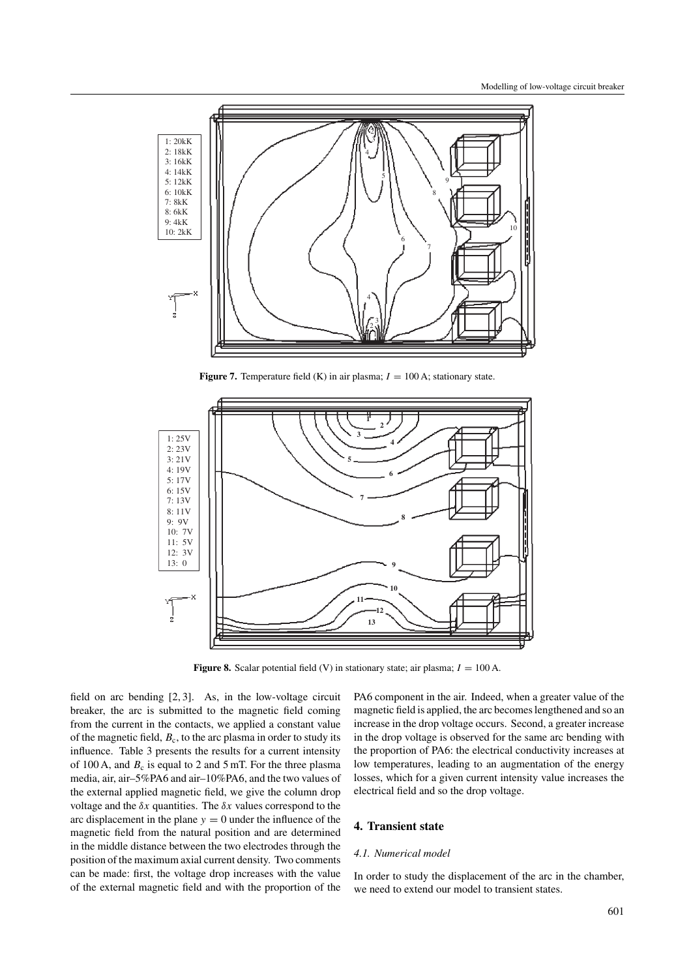

**Figure 7.** Temperature field  $(K)$  in air plasma;  $I = 100$  A; stationary state.



**Figure 8.** Scalar potential field (V) in stationary state; air plasma;  $I = 100$  A.

field on arc bending [2, 3]. As, in the low-voltage circuit breaker, the arc is submitted to the magnetic field coming from the current in the contacts, we applied a constant value of the magnetic field,  $B<sub>c</sub>$ , to the arc plasma in order to study its influence. Table 3 presents the results for a current intensity of 100 A, and  $B_c$  is equal to 2 and 5 mT. For the three plasma media, air, air–5%PA6 and air–10%PA6, and the two values of the external applied magnetic field, we give the column drop voltage and the *δx* quantities. The *δx* values correspond to the arc displacement in the plane  $y = 0$  under the influence of the magnetic field from the natural position and are determined in the middle distance between the two electrodes through the position of the maximum axial current density. Two comments can be made: first, the voltage drop increases with the value of the external magnetic field and with the proportion of the

PA6 component in the air. Indeed, when a greater value of the magnetic field is applied, the arc becomes lengthened and so an increase in the drop voltage occurs. Second, a greater increase in the drop voltage is observed for the same arc bending with the proportion of PA6: the electrical conductivity increases at low temperatures, leading to an augmentation of the energy losses, which for a given current intensity value increases the electrical field and so the drop voltage.

# **4. Transient state**

#### *4.1. Numerical model*

In order to study the displacement of the arc in the chamber, we need to extend our model to transient states.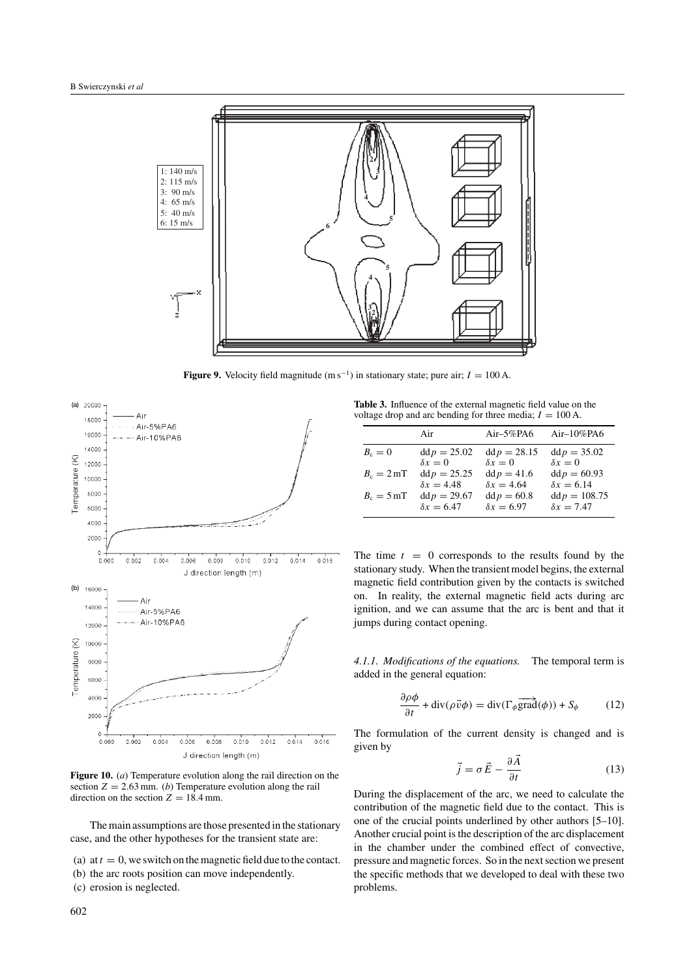

**Figure 9.** Velocity field magnitude (m s<sup>-1</sup>) in stationary state; pure air;  $I = 100$  A.



**Figure 10.** (*a*) Temperature evolution along the rail direction on the section  $Z = 2.63$  mm. (*b*) Temperature evolution along the rail direction on the section  $Z = 18.4$  mm.

The main assumptions are those presented in the stationary case, and the other hypotheses for the transient state are:

- (a) at  $t = 0$ , we switch on the magnetic field due to the contact.
- (b) the arc roots position can move independently.
- (c) erosion is neglected.

**Table 3.** Influence of the external magnetic field value on the voltage drop and arc bending for three media;  $I = 100$  A.

|              | Air               | Air- $5\%$ PA6    | Air-10%PA6        |
|--------------|-------------------|-------------------|-------------------|
| $B_c=0$      | $ddp = 25.02$     | $ddp = 28.15$     | $ddp = 35.02$     |
|              | $\delta x = 0$    | $\delta x = 0$    | $\delta x = 0$    |
| $B_c = 2 mT$ | $ddp = 25.25$     | $ddp = 41.6$      | $dd p = 60.93$    |
|              | $\delta x = 4.48$ | $\delta x = 4.64$ | $\delta x = 6.14$ |
| $B_c = 5$ mT | $ddp = 29.67$     | $dd p = 60.8$     | $dd p = 108.75$   |
|              | $\delta x = 6.47$ | $\delta x = 6.97$ | $\delta x = 7.47$ |
|              |                   |                   |                   |

The time  $t = 0$  corresponds to the results found by the stationary study. When the transient model begins, the external magnetic field contribution given by the contacts is switched on. In reality, the external magnetic field acts during arc ignition, and we can assume that the arc is bent and that it jumps during contact opening.

*4.1.1. Modifications of the equations.* The temporal term is added in the general equation:

$$
\frac{\partial \rho \phi}{\partial t} + \operatorname{div}(\rho \vec{v} \phi) = \operatorname{div}(\Gamma_{\phi} \overrightarrow{\text{grad}}(\phi)) + S_{\phi}
$$
 (12)

The formulation of the current density is changed and is given by

$$
\vec{j} = \sigma \vec{E} - \frac{\partial \vec{A}}{\partial t} \tag{13}
$$

During the displacement of the arc, we need to calculate the contribution of the magnetic field due to the contact. This is one of the crucial points underlined by other authors [5–10]. Another crucial point is the description of the arc displacement in the chamber under the combined effect of convective, pressure and magnetic forces. So in the next section we present the specific methods that we developed to deal with these two problems.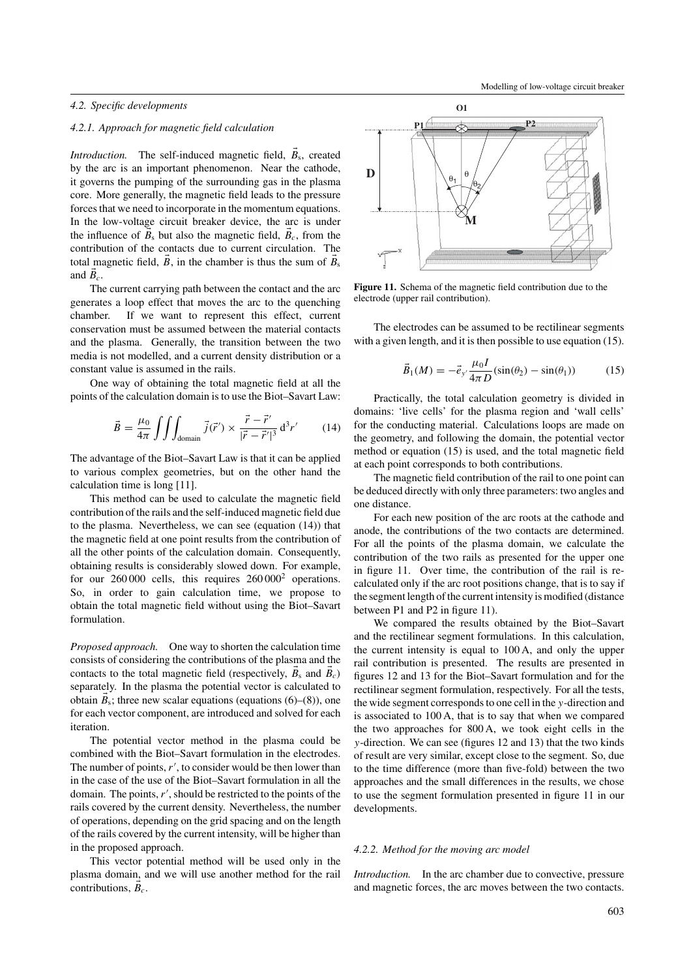#### *4.2. Specific developments*

#### *4.2.1. Approach for magnetic field calculation*

*Introduction.* The self-induced magnetic field,  $\vec{B}_s$ , created by the arc is an important phenomenon. Near the cathode, it governs the pumping of the surrounding gas in the plasma core. More generally, the magnetic field leads to the pressure forces that we need to incorporate in the momentum equations. In the low-voltage circuit breaker device, the arc is under the influence of  $\vec{B}_s$  but also the magnetic field,  $\vec{B}_c$ , from the contribution of the contacts due to current circulation. The total magnetic field,  $\vec{B}$ , in the chamber is thus the sum of  $\vec{B}_s$ and  $\vec{B}_c$ .

The current carrying path between the contact and the arc generates a loop effect that moves the arc to the quenching chamber. If we want to represent this effect, current conservation must be assumed between the material contacts and the plasma. Generally, the transition between the two media is not modelled, and a current density distribution or a constant value is assumed in the rails.

One way of obtaining the total magnetic field at all the points of the calculation domain is to use the Biot–Savart Law:

$$
\vec{B} = \frac{\mu_0}{4\pi} \iiint_{\text{domain}} \vec{j}(\vec{r}') \times \frac{\vec{r} - \vec{r}'}{|\vec{r} - \vec{r}'|^3} d^3r' \tag{14}
$$

The advantage of the Biot–Savart Law is that it can be applied to various complex geometries, but on the other hand the calculation time is long [11].

This method can be used to calculate the magnetic field contribution of the rails and the self-induced magnetic field due to the plasma. Nevertheless, we can see (equation (14)) that the magnetic field at one point results from the contribution of all the other points of the calculation domain. Consequently, obtaining results is considerably slowed down. For example, for our 260 000 cells, this requires  $260000^2$  operations. So, in order to gain calculation time, we propose to obtain the total magnetic field without using the Biot–Savart formulation.

*Proposed approach.* One way to shorten the calculation time consists of considering the contributions of the plasma and the contacts to the total magnetic field (respectively,  $\vec{B}_s$  and  $\vec{B}_c$ ) separately. In the plasma the potential vector is calculated to obtain  $\vec{B}_s$ ; three new scalar equations (equations (6)–(8)), one for each vector component, are introduced and solved for each iteration.

The potential vector method in the plasma could be combined with the Biot–Savart formulation in the electrodes. The number of points, *r* , to consider would be then lower than in the case of the use of the Biot–Savart formulation in all the domain. The points, *r* , should be restricted to the points of the rails covered by the current density. Nevertheless, the number of operations, depending on the grid spacing and on the length of the rails covered by the current intensity, will be higher than in the proposed approach.

This vector potential method will be used only in the plasma domain, and we will use another method for the rail contributions, *Bc*.



**Figure 11.** Schema of the magnetic field contribution due to the electrode (upper rail contribution).

The electrodes can be assumed to be rectilinear segments with a given length, and it is then possible to use equation (15).

$$
\vec{B}_1(M) = -\vec{e}_{y'} \frac{\mu_0 I}{4\pi D} (\sin(\theta_2) - \sin(\theta_1)) \tag{15}
$$

Practically, the total calculation geometry is divided in domains: 'live cells' for the plasma region and 'wall cells' for the conducting material. Calculations loops are made on the geometry, and following the domain, the potential vector method or equation (15) is used, and the total magnetic field at each point corresponds to both contributions.

The magnetic field contribution of the rail to one point can be deduced directly with only three parameters: two angles and one distance.

For each new position of the arc roots at the cathode and anode, the contributions of the two contacts are determined. For all the points of the plasma domain, we calculate the contribution of the two rails as presented for the upper one in figure 11. Over time, the contribution of the rail is recalculated only if the arc root positions change, that is to say if the segment length of the current intensity is modified (distance between P1 and P2 in figure 11).

We compared the results obtained by the Biot–Savart and the rectilinear segment formulations. In this calculation, the current intensity is equal to 100 A, and only the upper rail contribution is presented. The results are presented in figures 12 and 13 for the Biot–Savart formulation and for the rectilinear segment formulation, respectively. For all the tests, the wide segment corresponds to one cell in the *y*-direction and is associated to 100 A, that is to say that when we compared the two approaches for 800 A, we took eight cells in the *y*-direction. We can see (figures 12 and 13) that the two kinds of result are very similar, except close to the segment. So, due to the time difference (more than five-fold) between the two approaches and the small differences in the results, we chose to use the segment formulation presented in figure 11 in our developments.

## *4.2.2. Method for the moving arc model*

*Introduction.* In the arc chamber due to convective, pressure and magnetic forces, the arc moves between the two contacts.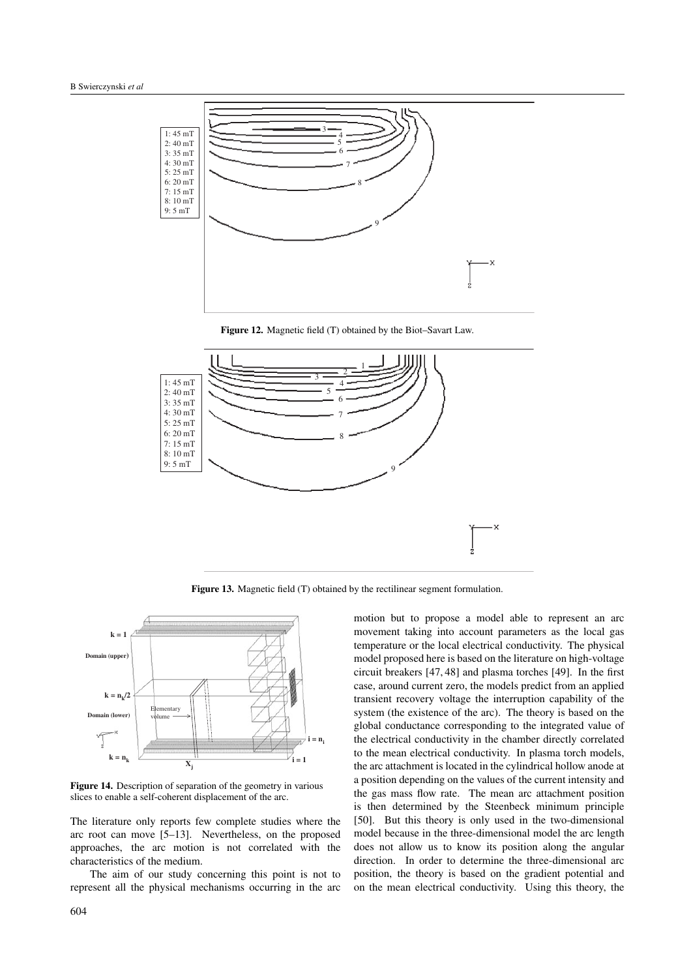

**Figure 12.** Magnetic field (T) obtained by the Biot–Savart Law.



**Figure 13.** Magnetic field (T) obtained by the rectilinear segment formulation.



**Figure 14.** Description of separation of the geometry in various slices to enable a self-coherent displacement of the arc.

The literature only reports few complete studies where the arc root can move [5–13]. Nevertheless, on the proposed approaches, the arc motion is not correlated with the characteristics of the medium.

The aim of our study concerning this point is not to represent all the physical mechanisms occurring in the arc motion but to propose a model able to represent an arc movement taking into account parameters as the local gas temperature or the local electrical conductivity. The physical model proposed here is based on the literature on high-voltage circuit breakers [47, 48] and plasma torches [49]. In the first case, around current zero, the models predict from an applied transient recovery voltage the interruption capability of the system (the existence of the arc). The theory is based on the global conductance corresponding to the integrated value of the electrical conductivity in the chamber directly correlated to the mean electrical conductivity. In plasma torch models, the arc attachment is located in the cylindrical hollow anode at a position depending on the values of the current intensity and the gas mass flow rate. The mean arc attachment position is then determined by the Steenbeck minimum principle [50]. But this theory is only used in the two-dimensional model because in the three-dimensional model the arc length does not allow us to know its position along the angular direction. In order to determine the three-dimensional arc position, the theory is based on the gradient potential and on the mean electrical conductivity. Using this theory, the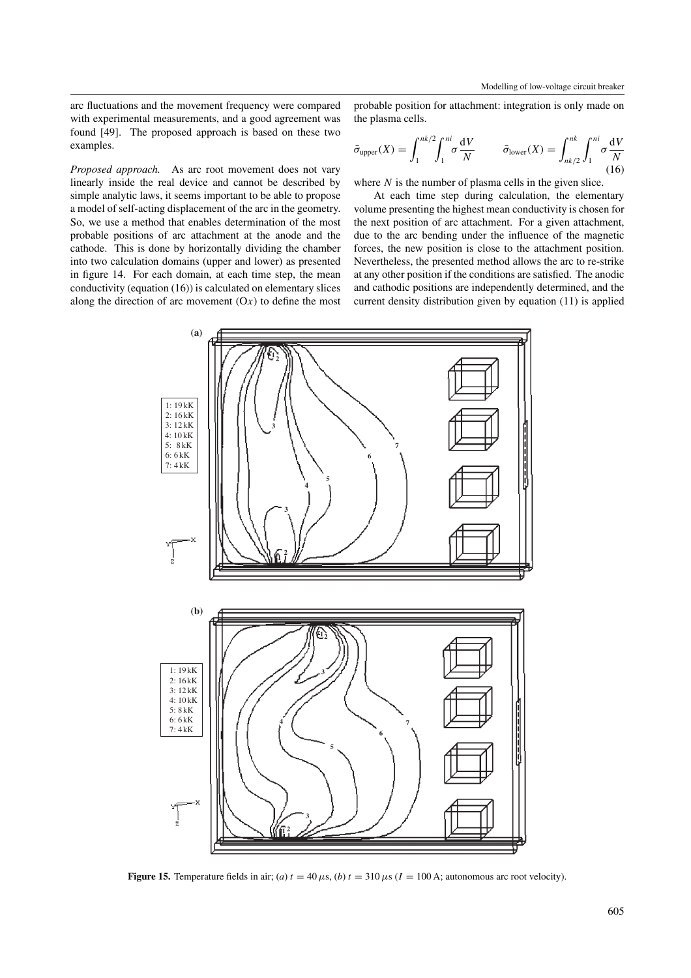arc fluctuations and the movement frequency were compared with experimental measurements, and a good agreement was found [49]. The proposed approach is based on these two examples.

*Proposed approach.* As arc root movement does not vary linearly inside the real device and cannot be described by simple analytic laws, it seems important to be able to propose a model of self-acting displacement of the arc in the geometry. So, we use a method that enables determination of the most probable positions of arc attachment at the anode and the cathode. This is done by horizontally dividing the chamber into two calculation domains (upper and lower) as presented in figure 14. For each domain, at each time step, the mean conductivity (equation (16)) is calculated on elementary slices along the direction of arc movement  $(Ox)$  to define the most probable position for attachment: integration is only made on the plasma cells.

$$
\bar{\sigma}_{\text{upper}}(X) = \int_1^{nk/2} \int_1^{ni} \sigma \frac{dV}{N} \qquad \bar{\sigma}_{\text{lower}}(X) = \int_{nk/2}^{nk} \int_1^{ni} \sigma \frac{dV}{N} \tag{16}
$$

where *N* is the number of plasma cells in the given slice.

At each time step during calculation, the elementary volume presenting the highest mean conductivity is chosen for the next position of arc attachment. For a given attachment, due to the arc bending under the influence of the magnetic forces, the new position is close to the attachment position. Nevertheless, the presented method allows the arc to re-strike at any other position if the conditions are satisfied. The anodic and cathodic positions are independently determined, and the current density distribution given by equation (11) is applied



**Figure 15.** Temperature fields in air; (*a*)  $t = 40 \mu s$ , (*b*)  $t = 310 \mu s$  ( $I = 100 \text{ A}$ ; autonomous arc root velocity).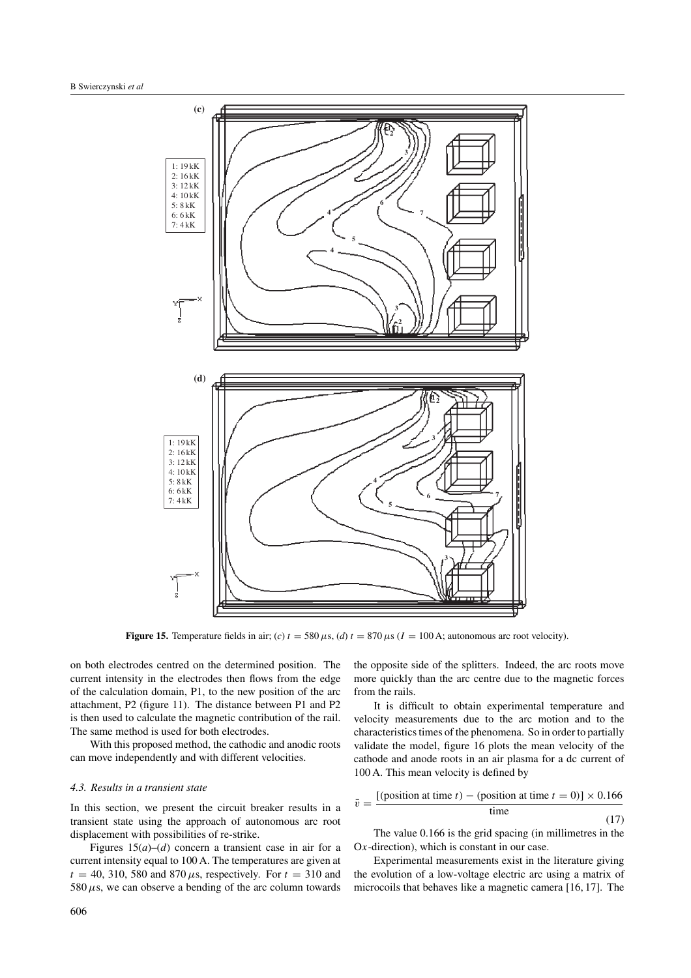

**Figure 15.** Temperature fields in air; (*c*)  $t = 580 \,\mu s$ , (*d*)  $t = 870 \,\mu s$  ( $I = 100 \,\text{A}$ ; autonomous arc root velocity).

on both electrodes centred on the determined position. The current intensity in the electrodes then flows from the edge of the calculation domain, P1, to the new position of the arc attachment, P2 (figure 11). The distance between P1 and P2 is then used to calculate the magnetic contribution of the rail. The same method is used for both electrodes.

With this proposed method, the cathodic and anodic roots can move independently and with different velocities.

# *4.3. Results in a transient state*

In this section, we present the circuit breaker results in a transient state using the approach of autonomous arc root displacement with possibilities of re-strike.

Figures  $15(a)$ – $(d)$  concern a transient case in air for a current intensity equal to 100 A. The temperatures are given at  $t = 40, 310, 580$  and  $870 \mu s$ , respectively. For  $t = 310$  and  $580 \,\mu s$ , we can observe a bending of the arc column towards

the opposite side of the splitters. Indeed, the arc roots move more quickly than the arc centre due to the magnetic forces from the rails.

It is difficult to obtain experimental temperature and velocity measurements due to the arc motion and to the characteristics times of the phenomena. So in order to partially validate the model, figure 16 plots the mean velocity of the cathode and anode roots in an air plasma for a dc current of 100 A. This mean velocity is defined by

$$
\bar{v} = \frac{[(position at time t) - (position at time t = 0)] \times 0.166}{time}
$$
\n(17)

The value 0.166 is the grid spacing (in millimetres in the O*x*-direction), which is constant in our case.

Experimental measurements exist in the literature giving the evolution of a low-voltage electric arc using a matrix of microcoils that behaves like a magnetic camera [16, 17]. The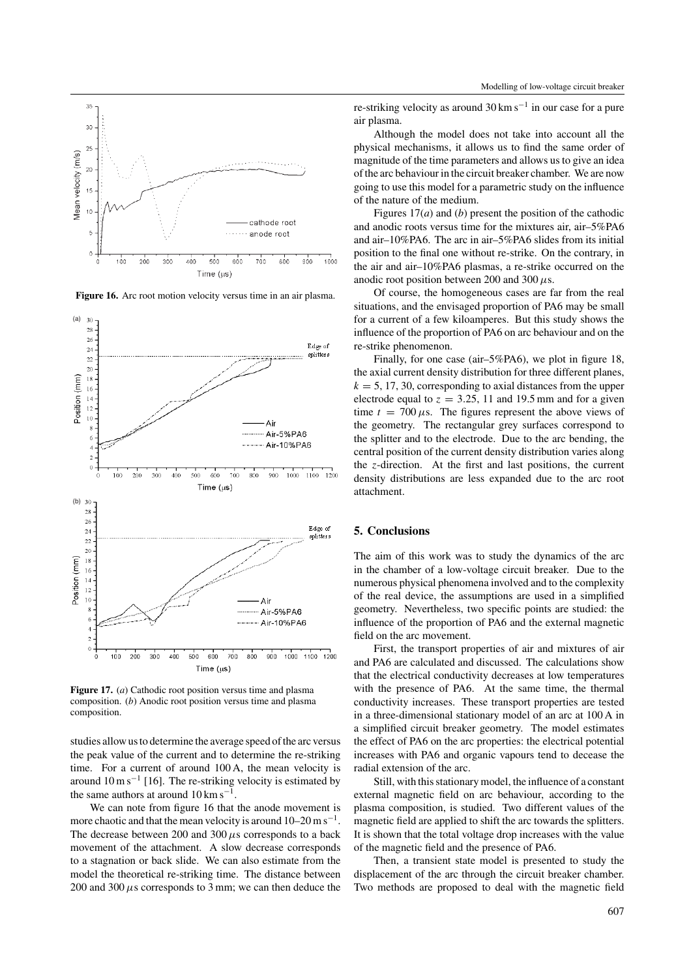

**Figure 16.** Arc root motion velocity versus time in an air plasma.



**Figure 17.** (*a*) Cathodic root position versus time and plasma composition. (*b*) Anodic root position versus time and plasma composition.

studies allow us to determine the average speed of the arc versus the peak value of the current and to determine the re-striking time. For a current of around 100 A, the mean velocity is around  $10 \text{ m s}^{-1}$  [16]. The re-striking velocity is estimated by the same authors at around  $10 \text{ km s}^{-1}$ .

We can note from figure 16 that the anode movement is more chaotic and that the mean velocity is around  $10-20$  m s<sup>-1</sup>. The decrease between 200 and 300*µ*s corresponds to a back movement of the attachment. A slow decrease corresponds to a stagnation or back slide. We can also estimate from the model the theoretical re-striking time. The distance between 200 and 300*µ*s corresponds to 3 mm; we can then deduce the re-striking velocity as around  $30 \text{ km s}^{-1}$  in our case for a pure air plasma.

Although the model does not take into account all the physical mechanisms, it allows us to find the same order of magnitude of the time parameters and allows us to give an idea of the arc behaviour in the circuit breaker chamber. We are now going to use this model for a parametric study on the influence of the nature of the medium.

Figures 17(*a*) and (*b*) present the position of the cathodic and anodic roots versus time for the mixtures air, air–5%PA6 and air–10%PA6. The arc in air–5%PA6 slides from its initial position to the final one without re-strike. On the contrary, in the air and air–10%PA6 plasmas, a re-strike occurred on the anodic root position between 200 and 300*µ*s.

Of course, the homogeneous cases are far from the real situations, and the envisaged proportion of PA6 may be small for a current of a few kiloamperes. But this study shows the influence of the proportion of PA6 on arc behaviour and on the re-strike phenomenon.

Finally, for one case (air–5%PA6), we plot in figure 18, the axial current density distribution for three different planes,  $k = 5, 17, 30$ , corresponding to axial distances from the upper electrode equal to  $z = 3.25$ , 11 and 19.5 mm and for a given time  $t = 700 \,\mu s$ . The figures represent the above views of the geometry. The rectangular grey surfaces correspond to the splitter and to the electrode. Due to the arc bending, the central position of the current density distribution varies along the *z*-direction. At the first and last positions, the current density distributions are less expanded due to the arc root attachment.

# **5. Conclusions**

The aim of this work was to study the dynamics of the arc in the chamber of a low-voltage circuit breaker. Due to the numerous physical phenomena involved and to the complexity of the real device, the assumptions are used in a simplified geometry. Nevertheless, two specific points are studied: the influence of the proportion of PA6 and the external magnetic field on the arc movement.

First, the transport properties of air and mixtures of air and PA6 are calculated and discussed. The calculations show that the electrical conductivity decreases at low temperatures with the presence of PA6. At the same time, the thermal conductivity increases. These transport properties are tested in a three-dimensional stationary model of an arc at 100 A in a simplified circuit breaker geometry. The model estimates the effect of PA6 on the arc properties: the electrical potential increases with PA6 and organic vapours tend to decease the radial extension of the arc.

Still, with this stationary model, the influence of a constant external magnetic field on arc behaviour, according to the plasma composition, is studied. Two different values of the magnetic field are applied to shift the arc towards the splitters. It is shown that the total voltage drop increases with the value of the magnetic field and the presence of PA6.

Then, a transient state model is presented to study the displacement of the arc through the circuit breaker chamber. Two methods are proposed to deal with the magnetic field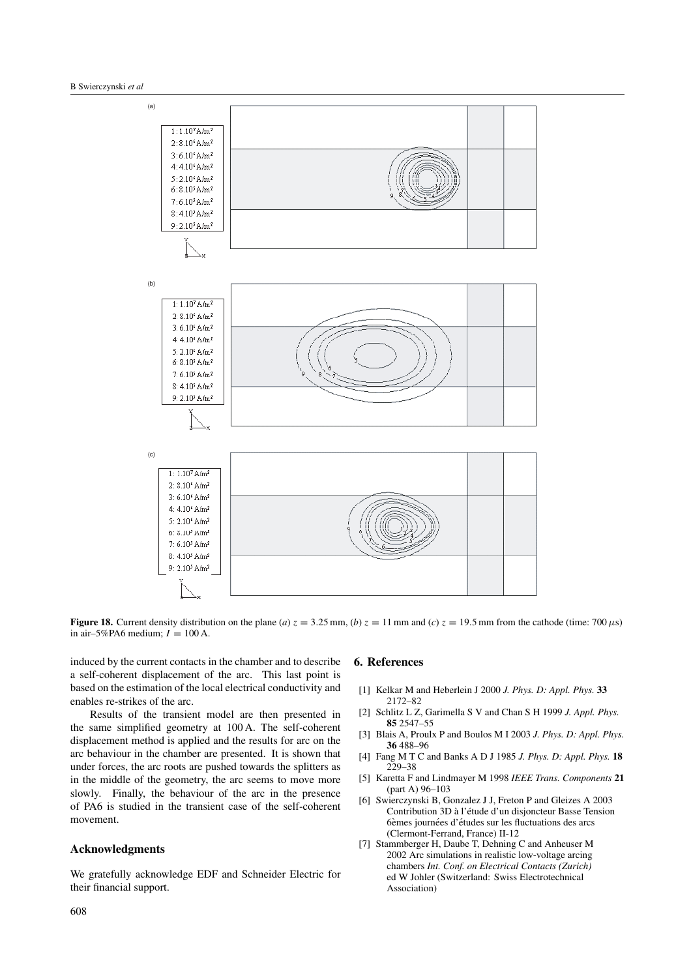

**Figure 18.** Current density distribution on the plane (*a*)  $z = 3.25$  mm, (*b*)  $z = 11$  mm and (*c*)  $z = 19.5$  mm from the cathode (time: 700  $\mu$ s) in air–5%PA6 medium;  $I = 100$  A.

induced by the current contacts in the chamber and to describe a self-coherent displacement of the arc. This last point is based on the estimation of the local electrical conductivity and enables re-strikes of the arc.

Results of the transient model are then presented in the same simplified geometry at 100 A. The self-coherent displacement method is applied and the results for arc on the arc behaviour in the chamber are presented. It is shown that under forces, the arc roots are pushed towards the splitters as in the middle of the geometry, the arc seems to move more slowly. Finally, the behaviour of the arc in the presence of PA6 is studied in the transient case of the self-coherent movement.

# **Acknowledgments**

We gratefully acknowledge EDF and Schneider Electric for their financial support.

# **6. References**

- [1] Kelkar M and Heberlein J 2000 *J. Phys. D: Appl. Phys.* **33** 2172–82
- [2] Schlitz L Z, Garimella S V and Chan S H 1999 *J. Appl. Phys.* **85** 2547–55
- [3] Blais A, Proulx P and Boulos M I 2003 *J. Phys. D: Appl. Phys.* **36** 488–96
- [4] Fang M T C and BanksADJ 1985 *J. Phys. D: Appl. Phys.* **18** 229–38
- [5] Karetta F and Lindmayer M 1998 *IEEE Trans. Components* **21** (part A) 96–103
- [6] Swierczynski B, Gonzalez J J, Freton P and Gleizes A 2003 Contribution 3D à l'étude d'un disjoncteur Basse Tension 6èmes journées d'études sur les fluctuations des arcs (Clermont-Ferrand, France) II-12
- [7] Stammberger H, Daube T, Dehning C and Anheuser M 2002 Arc simulations in realistic low-voltage arcing chambers *Int. Conf. on Electrical Contacts (Zurich)* ed W Johler (Switzerland: Swiss Electrotechnical Association)